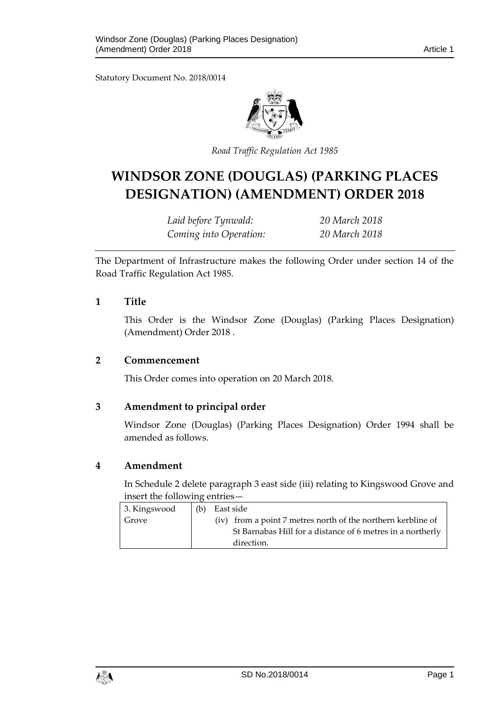Statutory Document No. 2018/0014



*Road Traffic Regula tion Act 1985*

# **WINDSOR ZONE (DOUGLAS) (PARKING PLACES DESIGNATION) (AMENDMENT) ORDER 2018**

*Laid before Tynwald: 20 March 2018 Coming into Operation: 20 March 2018*

The Department of Infrastructure makes the following Order under section 14 of the Road Traffic Regulation Act 1985.

### **1 Title**

This Order is the Windsor Zone (Douglas) (Parking Places Designation) (Amendment) Order 2018 .

#### **2 Commencement**

This Order comes into operation on 20 March 2018.

### **3 Amendment to principal order**

Windsor Zone (Douglas) (Parking Places Designation) Order 1994 shall be amended as follows.

### **4 Amendment**

In Schedule 2 delete paragraph 3 east side (iii) relating to Kingswood Grove and insert the following entries—

| 3. Kingswood | (b) | East side                                                    |
|--------------|-----|--------------------------------------------------------------|
| Grove        |     | (iv) from a point 7 metres north of the northern kerbline of |
|              |     | St Barnabas Hill for a distance of 6 metres in a northerly   |
|              |     | direction.                                                   |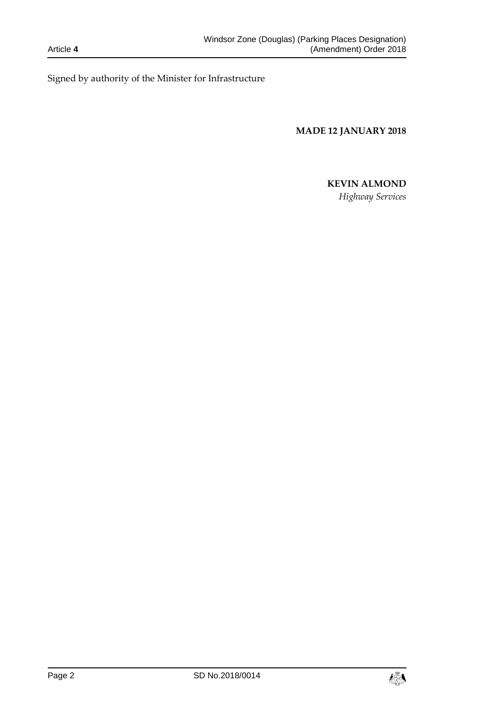Signed by authority of the Minister for Infrastructure

**MADE 12 JANUARY 2018**

## **KEVIN ALMOND**

*Highway Services*